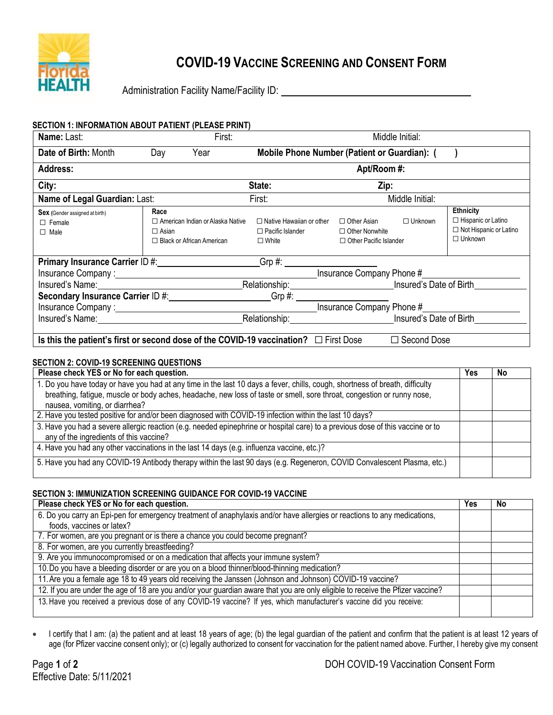

# **COVID-19 VACCINE SCREENING AND CONSENT FORM**

Administration Facility Name/Facility ID: \\state \\state \\state \\state \\state \\state \\state \\state \\state \\state \\state \\state \\state \\state \\state \\state \\state \\state \\state \\state \\state \\state \\st

| SECTION 1: INFORMATION ABOUT PATIENT (PLEASE PRINT)                                                                    |                                                                                                     |        |                                                                               |                                                                              |                    |                                                                                           |
|------------------------------------------------------------------------------------------------------------------------|-----------------------------------------------------------------------------------------------------|--------|-------------------------------------------------------------------------------|------------------------------------------------------------------------------|--------------------|-------------------------------------------------------------------------------------------|
| Name: Last:                                                                                                            |                                                                                                     | First: |                                                                               |                                                                              | Middle Initial:    |                                                                                           |
| Date of Birth: Month                                                                                                   | Day<br>Year                                                                                         |        | Mobile Phone Number (Patient or Guardian): (                                  |                                                                              |                    |                                                                                           |
| <b>Address:</b>                                                                                                        |                                                                                                     |        |                                                                               | Apt/Room #:                                                                  |                    |                                                                                           |
| City:                                                                                                                  |                                                                                                     |        | State:                                                                        | Zip:                                                                         |                    |                                                                                           |
| Name of Legal Guardian: Last:                                                                                          |                                                                                                     |        | First:                                                                        |                                                                              | Middle Initial:    |                                                                                           |
| Sex (Gender assigned at birth)<br>$\Box$ Female<br>$\Box$ Male                                                         | Race<br>$\Box$ American Indian or Alaska Native<br>$\Box$ Asian<br>$\Box$ Black or African American |        | $\Box$ Native Hawaiian or other<br>$\Box$ Pacific Islander<br>$\square$ White | $\Box$ Other Asian<br>$\Box$ Other Nonwhite<br>$\Box$ Other Pacific Islander | $\Box$ Unknown     | Ethnicity<br>$\Box$ Hispanic or Latino<br>$\Box$ Not Hispanic or Latino<br>$\Box$ Unknown |
| <b>Primary Insurance Carrier ID #:</b> Network of the Manus Care and Art and Art and Art and Art and Art and Art and A |                                                                                                     |        | Grp #: __________________________                                             |                                                                              |                    |                                                                                           |
|                                                                                                                        |                                                                                                     |        |                                                                               | Insurance Company Phone #                                                    |                    |                                                                                           |
| Insured's Name:                                                                                                        |                                                                                                     |        | Relationship:                                                                 | <b>COLLECTE</b> Insured's Date of Birth                                      |                    |                                                                                           |
| Secondary Insurance Carrier ID #:                                                                                      |                                                                                                     |        | $Grp \#:$                                                                     |                                                                              |                    |                                                                                           |
|                                                                                                                        |                                                                                                     |        |                                                                               | Insurance Company Phone #                                                    |                    |                                                                                           |
|                                                                                                                        |                                                                                                     |        | Relationship: Insured's Date of Birth                                         |                                                                              |                    |                                                                                           |
| Is this the patient's first or second dose of the COVID-19 vaccination? $\Box$ First Dose                              |                                                                                                     |        |                                                                               |                                                                              | $\Box$ Second Dose |                                                                                           |

## **SECTION 2: COVID-19 SCREENING QUESTIONS**

| Please check YES or No for each question.                                                                                      | Yes | No |
|--------------------------------------------------------------------------------------------------------------------------------|-----|----|
| 1. Do you have today or have you had at any time in the last 10 days a fever, chills, cough, shortness of breath, difficulty   |     |    |
| breathing, fatigue, muscle or body aches, headache, new loss of taste or smell, sore throat, congestion or runny nose,         |     |    |
| nausea, vomiting, or diarrhea?                                                                                                 |     |    |
| 2. Have you tested positive for and/or been diagnosed with COVID-19 infection within the last 10 days?                         |     |    |
| 3. Have you had a severe allergic reaction (e.g. needed epinephrine or hospital care) to a previous dose of this vaccine or to |     |    |
| any of the ingredients of this vaccine?                                                                                        |     |    |
| 4. Have you had any other vaccinations in the last 14 days (e.g. influenza vaccine, etc.)?                                     |     |    |
| 5. Have you had any COVID-19 Antibody therapy within the last 90 days (e.g. Regeneron, COVID Convalescent Plasma, etc.)        |     |    |

## **SECTION 3: IMMUNIZATION SCREENING GUIDANCE FOR COVID-19 VACCINE**

| Please check YES or No for each question.                                                                                       | Yes | No |
|---------------------------------------------------------------------------------------------------------------------------------|-----|----|
| 6. Do you carry an Epi-pen for emergency treatment of anaphylaxis and/or have allergies or reactions to any medications,        |     |    |
| foods, vaccines or latex?                                                                                                       |     |    |
| 7. For women, are you pregnant or is there a chance you could become pregnant?                                                  |     |    |
| 8. For women, are you currently breastfeeding?                                                                                  |     |    |
| 9. Are you immunocompromised or on a medication that affects your immune system?                                                |     |    |
| 10. Do you have a bleeding disorder or are you on a blood thinner/blood-thinning medication?                                    |     |    |
| 11. Are you a female age 18 to 49 years old receiving the Janssen (Johnson and Johnson) COVID-19 vaccine?                       |     |    |
| 12. If you are under the age of 18 are you and/or your guardian aware that you are only eligible to receive the Pfizer vaccine? |     |    |
| 13. Have you received a previous dose of any COVID-19 vaccine? If yes, which manufacturer's vaccine did you receive:            |     |    |

• I certify that I am: (a) the patient and at least 18 years of age; (b) the legal guardian of the patient and confirm that the patient is at least 12 years of age (for Pfizer vaccine consent only); or (c) legally authorized to consent for vaccination for the patient named above. Further, I hereby give my consent